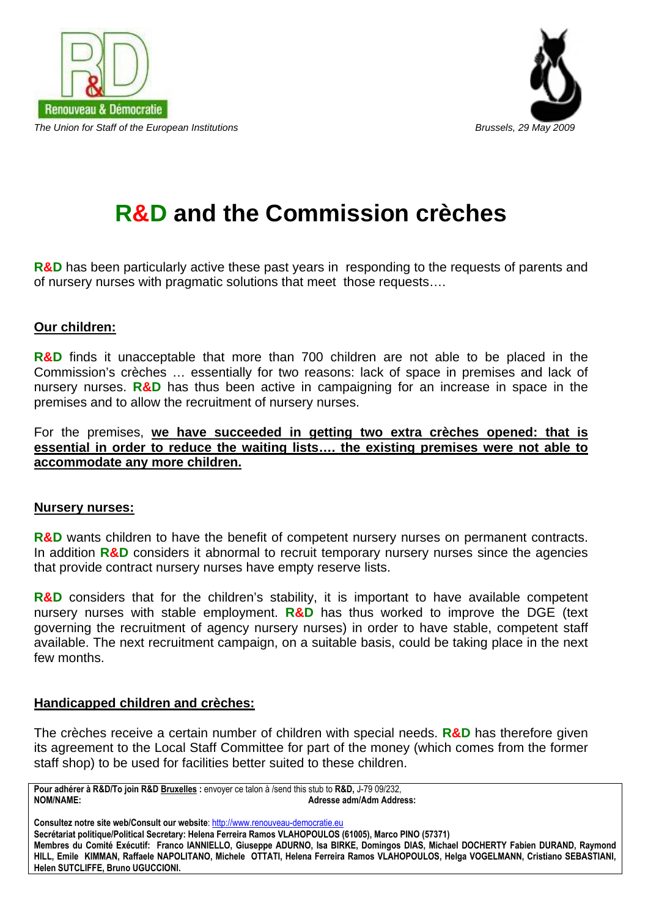



# **R&D and the Commission crèches**

**R&D** has been particularly active these past years in responding to the requests of parents and of nursery nurses with pragmatic solutions that meet those requests….

#### **Our children:**

**R&D** finds it unacceptable that more than 700 children are not able to be placed in the Commission's crèches … essentially for two reasons: lack of space in premises and lack of nursery nurses. **R&D** has thus been active in campaigning for an increase in space in the premises and to allow the recruitment of nursery nurses.

For the premises, **we have succeeded in getting two extra crèches opened: that is essential in order to reduce the waiting lists…. the existing premises were not able to accommodate any more children.**

#### **Nursery nurses:**

**R&D** wants children to have the benefit of competent nursery nurses on permanent contracts. In addition **R&D** considers it abnormal to recruit temporary nursery nurses since the agencies that provide contract nursery nurses have empty reserve lists.

**R&D** considers that for the children's stability, it is important to have available competent nursery nurses with stable employment. **R&D** has thus worked to improve the DGE (text governing the recruitment of agency nursery nurses) in order to have stable, competent staff available. The next recruitment campaign, on a suitable basis, could be taking place in the next few months.

#### **Handicapped children and crèches:**

The crèches receive a certain number of children with special needs. **R&D** has therefore given its agreement to the Local Staff Committee for part of the money (which comes from the former staff shop) to be used for facilities better suited to these children.

**Pour adhérer à R&D/To join R&D Bruxelles :** envoyer ce talon à /send this stub to **R&D,** J-79 09/232, **NOM/NAME: Adresse adm/Adm Address:** 

Consultez notre site web/Consult our website: http://www.renouveau-democratie.eu **Secrétariat politique/Political Secretary: Helena Ferreira Ramos VLAHOPOULOS (61005), Marco PINO (57371) Membres du Comité Exécutif: Franco IANNIELLO, Giuseppe ADURNO, Isa BIRKE, Domingos DIAS, Michael DOCHERTY Fabien DURAND, Raymond HILL, Emile KIMMAN, Raffaele NAPOLITANO, Michele OTTATI, Helena Ferreira Ramos VLAHOPOULOS, Helga VOGELMANN, Cristiano SEBASTIANI, Helen SUTCLIFFE, Bruno UGUCCIONI.**